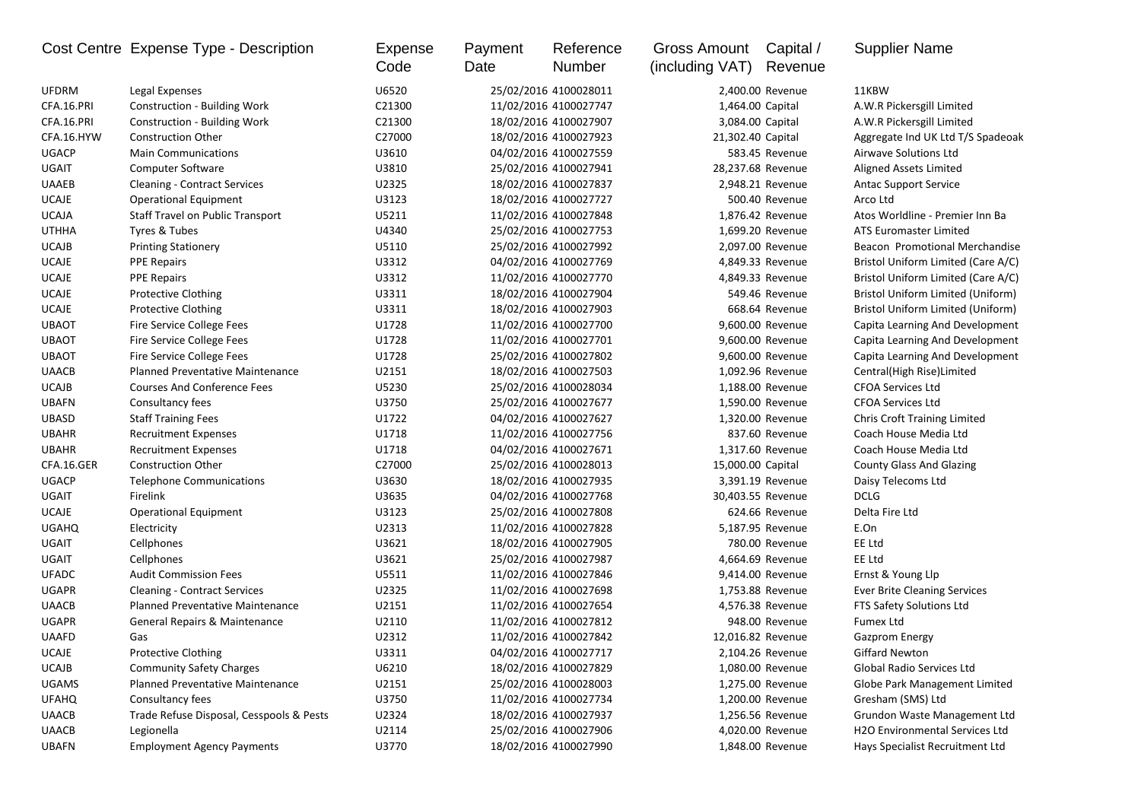|              | Cost Centre Expense Type - Description   | Expense | Payment | Reference             | Gross Amount      | Capital /         | <b>Supplier Name</b>                |
|--------------|------------------------------------------|---------|---------|-----------------------|-------------------|-------------------|-------------------------------------|
|              |                                          | Code    | Date    | Number                | (including VAT)   | Revenue           |                                     |
| <b>UFDRM</b> | Legal Expenses                           | U6520   |         | 25/02/2016 4100028011 |                   | 2,400.00 Revenue  | 11KBW                               |
| CFA.16.PRI   | <b>Construction - Building Work</b>      | C21300  |         | 11/02/2016 4100027747 | 1,464.00 Capital  |                   | A.W.R Pickersgill Limited           |
| CFA.16.PRI   | <b>Construction - Building Work</b>      | C21300  |         | 18/02/2016 4100027907 |                   | 3,084.00 Capital  | A.W.R Pickersgill Limited           |
| CFA.16.HYW   | <b>Construction Other</b>                | C27000  |         | 18/02/2016 4100027923 | 21,302.40 Capital |                   | Aggregate Ind UK Ltd T/S Spadeoak   |
| <b>UGACP</b> | <b>Main Communications</b>               | U3610   |         | 04/02/2016 4100027559 |                   | 583.45 Revenue    | Airwave Solutions Ltd               |
| UGAIT        | Computer Software                        | U3810   |         | 25/02/2016 4100027941 |                   | 28,237.68 Revenue | Aligned Assets Limited              |
| <b>UAAEB</b> | <b>Cleaning - Contract Services</b>      | U2325   |         | 18/02/2016 4100027837 |                   | 2,948.21 Revenue  | <b>Antac Support Service</b>        |
| <b>UCAJE</b> | <b>Operational Equipment</b>             | U3123   |         | 18/02/2016 4100027727 |                   | 500.40 Revenue    | Arco Ltd                            |
| <b>UCAJA</b> | <b>Staff Travel on Public Transport</b>  | U5211   |         | 11/02/2016 4100027848 |                   | 1,876.42 Revenue  | Atos Worldline - Premier Inn Ba     |
| <b>UTHHA</b> | Tyres & Tubes                            | U4340   |         | 25/02/2016 4100027753 |                   | 1,699.20 Revenue  | <b>ATS Euromaster Limited</b>       |
| <b>UCAJB</b> | <b>Printing Stationery</b>               | U5110   |         | 25/02/2016 4100027992 |                   | 2,097.00 Revenue  | Beacon Promotional Merchandise      |
| <b>UCAJE</b> | <b>PPE Repairs</b>                       | U3312   |         | 04/02/2016 4100027769 |                   | 4,849.33 Revenue  | Bristol Uniform Limited (Care A/C)  |
| <b>UCAJE</b> | <b>PPE Repairs</b>                       | U3312   |         | 11/02/2016 4100027770 |                   | 4,849.33 Revenue  | Bristol Uniform Limited (Care A/C)  |
| <b>UCAJE</b> | <b>Protective Clothing</b>               | U3311   |         | 18/02/2016 4100027904 |                   | 549.46 Revenue    | Bristol Uniform Limited (Uniform)   |
| <b>UCAJE</b> | <b>Protective Clothing</b>               | U3311   |         | 18/02/2016 4100027903 |                   | 668.64 Revenue    | Bristol Uniform Limited (Uniform)   |
| <b>UBAOT</b> | Fire Service College Fees                | U1728   |         | 11/02/2016 4100027700 |                   | 9,600.00 Revenue  | Capita Learning And Development     |
| <b>UBAOT</b> | Fire Service College Fees                | U1728   |         | 11/02/2016 4100027701 |                   | 9,600.00 Revenue  | Capita Learning And Development     |
| <b>UBAOT</b> | Fire Service College Fees                | U1728   |         | 25/02/2016 4100027802 |                   | 9,600.00 Revenue  | Capita Learning And Development     |
| <b>UAACB</b> | Planned Preventative Maintenance         | U2151   |         | 18/02/2016 4100027503 |                   | 1,092.96 Revenue  | Central(High Rise)Limited           |
| <b>UCAJB</b> | <b>Courses And Conference Fees</b>       | U5230   |         | 25/02/2016 4100028034 |                   | 1,188.00 Revenue  | <b>CFOA Services Ltd</b>            |
| <b>UBAFN</b> | Consultancy fees                         | U3750   |         | 25/02/2016 4100027677 |                   | 1,590.00 Revenue  | <b>CFOA Services Ltd</b>            |
| <b>UBASD</b> | <b>Staff Training Fees</b>               | U1722   |         | 04/02/2016 4100027627 |                   | 1,320.00 Revenue  | <b>Chris Croft Training Limited</b> |
| <b>UBAHR</b> | <b>Recruitment Expenses</b>              | U1718   |         | 11/02/2016 4100027756 |                   | 837.60 Revenue    | Coach House Media Ltd               |
| <b>UBAHR</b> | <b>Recruitment Expenses</b>              | U1718   |         | 04/02/2016 4100027671 |                   | 1,317.60 Revenue  | Coach House Media Ltd               |
| CFA.16.GER   | <b>Construction Other</b>                | C27000  |         | 25/02/2016 4100028013 | 15,000.00 Capital |                   | <b>County Glass And Glazing</b>     |
| <b>UGACP</b> | <b>Telephone Communications</b>          | U3630   |         | 18/02/2016 4100027935 |                   | 3,391.19 Revenue  | Daisy Telecoms Ltd                  |
| UGAIT        | Firelink                                 | U3635   |         | 04/02/2016 4100027768 |                   | 30,403.55 Revenue | <b>DCLG</b>                         |
| <b>UCAJE</b> | <b>Operational Equipment</b>             | U3123   |         | 25/02/2016 4100027808 |                   | 624.66 Revenue    | Delta Fire Ltd                      |
| <b>UGAHQ</b> | Electricity                              | U2313   |         | 11/02/2016 4100027828 |                   | 5,187.95 Revenue  | E.On                                |
| UGAIT        | Cellphones                               | U3621   |         | 18/02/2016 4100027905 |                   | 780.00 Revenue    | EE Ltd                              |
| UGAIT        | Cellphones                               | U3621   |         | 25/02/2016 4100027987 |                   | 4,664.69 Revenue  | EE Ltd                              |
| <b>UFADC</b> | <b>Audit Commission Fees</b>             | U5511   |         | 11/02/2016 4100027846 |                   | 9,414.00 Revenue  | Ernst & Young Llp                   |
| <b>UGAPR</b> | <b>Cleaning - Contract Services</b>      | U2325   |         | 11/02/2016 4100027698 |                   | 1,753.88 Revenue  | <b>Ever Brite Cleaning Services</b> |
| <b>UAACB</b> | <b>Planned Preventative Maintenance</b>  | U2151   |         | 11/02/2016 4100027654 |                   | 4,576.38 Revenue  | FTS Safety Solutions Ltd            |
| <b>UGAPR</b> | General Repairs & Maintenance            | U2110   |         | 11/02/2016 4100027812 |                   | 948.00 Revenue    | <b>Fumex Ltd</b>                    |
| <b>UAAFD</b> | Gas                                      | U2312   |         | 11/02/2016 4100027842 |                   | 12,016.82 Revenue | <b>Gazprom Energy</b>               |
| UCAJE        | <b>Protective Clothing</b>               | U3311   |         | 04/02/2016 4100027717 |                   | 2,104.26 Revenue  | Giffard Newton                      |
| <b>UCAJB</b> | <b>Community Safety Charges</b>          | U6210   |         | 18/02/2016 4100027829 |                   | 1,080.00 Revenue  | Global Radio Services Ltd           |
| <b>UGAMS</b> | Planned Preventative Maintenance         | U2151   |         | 25/02/2016 4100028003 |                   | 1,275.00 Revenue  | Globe Park Management Limited       |
| <b>UFAHQ</b> | Consultancy fees                         | U3750   |         | 11/02/2016 4100027734 |                   | 1,200.00 Revenue  | Gresham (SMS) Ltd                   |
| <b>UAACB</b> | Trade Refuse Disposal, Cesspools & Pests | U2324   |         | 18/02/2016 4100027937 |                   | 1,256.56 Revenue  | Grundon Waste Management Ltd        |
| <b>UAACB</b> | Legionella                               | U2114   |         | 25/02/2016 4100027906 |                   | 4,020.00 Revenue  | H2O Environmental Services Ltd      |
| <b>UBAFN</b> | <b>Employment Agency Payments</b>        | U3770   |         | 18/02/2016 4100027990 |                   | 1,848.00 Revenue  | Hays Specialist Recruitment Ltd     |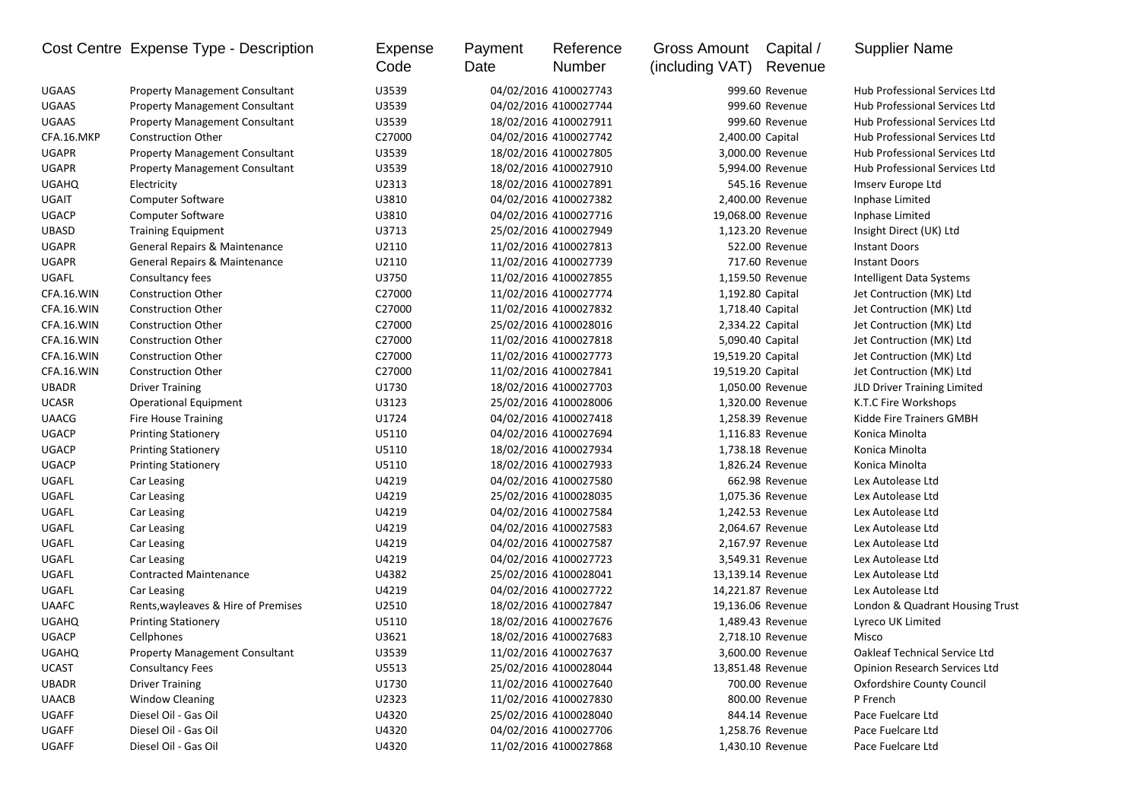|              | Cost Centre Expense Type - Description   | <b>Expense</b><br>Code | Payment<br>Date | Reference<br>Number   | Gross Amount<br>(including VAT) | Capital /<br>Revenue | <b>Supplier Name</b>                 |
|--------------|------------------------------------------|------------------------|-----------------|-----------------------|---------------------------------|----------------------|--------------------------------------|
| <b>UGAAS</b> | <b>Property Management Consultant</b>    | U3539                  |                 | 04/02/2016 4100027743 |                                 | 999.60 Revenue       | Hub Professional Services Ltd        |
| <b>UGAAS</b> | <b>Property Management Consultant</b>    | U3539                  |                 | 04/02/2016 4100027744 |                                 | 999.60 Revenue       | Hub Professional Services Ltd        |
| <b>UGAAS</b> | <b>Property Management Consultant</b>    | U3539                  |                 | 18/02/2016 4100027911 |                                 | 999.60 Revenue       | Hub Professional Services Ltd        |
| CFA.16.MKP   | <b>Construction Other</b>                | C27000                 |                 | 04/02/2016 4100027742 | 2,400.00 Capital                |                      | Hub Professional Services Ltd        |
| <b>UGAPR</b> | <b>Property Management Consultant</b>    | U3539                  |                 | 18/02/2016 4100027805 |                                 | 3,000.00 Revenue     | Hub Professional Services Ltd        |
| <b>UGAPR</b> | <b>Property Management Consultant</b>    | U3539                  |                 | 18/02/2016 4100027910 |                                 | 5,994.00 Revenue     | Hub Professional Services Ltd        |
| <b>UGAHQ</b> | Electricity                              | U2313                  |                 | 18/02/2016 4100027891 |                                 | 545.16 Revenue       | Imserv Europe Ltd                    |
| UGAIT        | Computer Software                        | U3810                  |                 | 04/02/2016 4100027382 |                                 | 2,400.00 Revenue     | Inphase Limited                      |
| <b>UGACP</b> | Computer Software                        | U3810                  |                 | 04/02/2016 4100027716 | 19,068.00 Revenue               |                      | Inphase Limited                      |
| UBASD        | <b>Training Equipment</b>                | U3713                  |                 | 25/02/2016 4100027949 |                                 | 1,123.20 Revenue     | Insight Direct (UK) Ltd              |
| <b>UGAPR</b> | General Repairs & Maintenance            | U2110                  |                 | 11/02/2016 4100027813 |                                 | 522.00 Revenue       | <b>Instant Doors</b>                 |
| <b>UGAPR</b> | <b>General Repairs &amp; Maintenance</b> | U2110                  |                 | 11/02/2016 4100027739 |                                 | 717.60 Revenue       | <b>Instant Doors</b>                 |
| UGAFL        | Consultancy fees                         | U3750                  |                 | 11/02/2016 4100027855 |                                 | 1,159.50 Revenue     | Intelligent Data Systems             |
| CFA.16.WIN   | <b>Construction Other</b>                | C27000                 |                 | 11/02/2016 4100027774 | 1,192.80 Capital                |                      | Jet Contruction (MK) Ltd             |
| CFA.16.WIN   | <b>Construction Other</b>                | C27000                 |                 | 11/02/2016 4100027832 | 1,718.40 Capital                |                      | Jet Contruction (MK) Ltd             |
| CFA.16.WIN   | <b>Construction Other</b>                | C27000                 |                 | 25/02/2016 4100028016 | 2,334.22 Capital                |                      | Jet Contruction (MK) Ltd             |
| CFA.16.WIN   | <b>Construction Other</b>                | C27000                 |                 | 11/02/2016 4100027818 | 5,090.40 Capital                |                      | Jet Contruction (MK) Ltd             |
| CFA.16.WIN   | <b>Construction Other</b>                | C27000                 |                 | 11/02/2016 4100027773 | 19,519.20 Capital               |                      | Jet Contruction (MK) Ltd             |
| CFA.16.WIN   | <b>Construction Other</b>                | C27000                 |                 | 11/02/2016 4100027841 | 19,519.20 Capital               |                      | Jet Contruction (MK) Ltd             |
| <b>UBADR</b> | <b>Driver Training</b>                   | U1730                  |                 | 18/02/2016 4100027703 |                                 | 1,050.00 Revenue     | JLD Driver Training Limited          |
| <b>UCASR</b> | <b>Operational Equipment</b>             | U3123                  |                 | 25/02/2016 4100028006 |                                 | 1,320.00 Revenue     | K.T.C Fire Workshops                 |
| <b>UAACG</b> | <b>Fire House Training</b>               | U1724                  |                 | 04/02/2016 4100027418 |                                 | 1,258.39 Revenue     | Kidde Fire Trainers GMBH             |
| <b>UGACP</b> | <b>Printing Stationery</b>               | U5110                  |                 | 04/02/2016 4100027694 |                                 | 1,116.83 Revenue     | Konica Minolta                       |
| <b>UGACP</b> | <b>Printing Stationery</b>               | U5110                  |                 | 18/02/2016 4100027934 |                                 | 1,738.18 Revenue     | Konica Minolta                       |
| <b>UGACP</b> | <b>Printing Stationery</b>               | U5110                  |                 | 18/02/2016 4100027933 |                                 | 1,826.24 Revenue     | Konica Minolta                       |
| UGAFL        | Car Leasing                              | U4219                  |                 | 04/02/2016 4100027580 |                                 | 662.98 Revenue       | Lex Autolease Ltd                    |
| UGAFL        | Car Leasing                              | U4219                  |                 | 25/02/2016 4100028035 |                                 | 1,075.36 Revenue     | Lex Autolease Ltd                    |
| UGAFL        | Car Leasing                              | U4219                  |                 | 04/02/2016 4100027584 |                                 | 1,242.53 Revenue     | Lex Autolease Ltd                    |
| UGAFL        | Car Leasing                              | U4219                  |                 | 04/02/2016 4100027583 |                                 | 2,064.67 Revenue     | Lex Autolease Ltd                    |
| UGAFL        | Car Leasing                              | U4219                  |                 | 04/02/2016 4100027587 |                                 | 2,167.97 Revenue     | Lex Autolease Ltd                    |
| UGAFL        | Car Leasing                              | U4219                  |                 | 04/02/2016 4100027723 |                                 | 3,549.31 Revenue     | Lex Autolease Ltd                    |
| UGAFL        | <b>Contracted Maintenance</b>            | U4382                  |                 | 25/02/2016 4100028041 | 13,139.14 Revenue               |                      | Lex Autolease Ltd                    |
| UGAFL        | Car Leasing                              | U4219                  |                 | 04/02/2016 4100027722 | 14,221.87 Revenue               |                      | Lex Autolease Ltd                    |
| <b>UAAFC</b> | Rents, wayleaves & Hire of Premises      | U2510                  |                 | 18/02/2016 4100027847 | 19,136.06 Revenue               |                      | London & Quadrant Housing Trust      |
| <b>UGAHQ</b> | <b>Printing Stationery</b>               | U5110                  |                 | 18/02/2016 4100027676 |                                 | 1,489.43 Revenue     | Lyreco UK Limited                    |
| <b>UGACP</b> | Cellphones                               | U3621                  |                 | 18/02/2016 4100027683 |                                 | 2.718.10 Revenue     | Misco                                |
| <b>UGAHQ</b> | <b>Property Management Consultant</b>    | U3539                  |                 | 11/02/2016 4100027637 |                                 | 3,600.00 Revenue     | Oakleaf Technical Service Ltd        |
| <b>UCAST</b> | <b>Consultancy Fees</b>                  | U5513                  |                 | 25/02/2016 4100028044 | 13,851.48 Revenue               |                      | <b>Opinion Research Services Ltd</b> |
| <b>UBADR</b> | <b>Driver Training</b>                   | U1730                  |                 | 11/02/2016 4100027640 |                                 | 700.00 Revenue       | Oxfordshire County Council           |
| <b>UAACB</b> | <b>Window Cleaning</b>                   | U2323                  |                 | 11/02/2016 4100027830 |                                 | 800.00 Revenue       | P French                             |
| UGAFF        | Diesel Oil - Gas Oil                     | U4320                  |                 | 25/02/2016 4100028040 |                                 | 844.14 Revenue       | Pace Fuelcare Ltd                    |
| UGAFF        | Diesel Oil - Gas Oil                     | U4320                  |                 | 04/02/2016 4100027706 |                                 | 1,258.76 Revenue     | Pace Fuelcare Ltd                    |
| UGAFF        | Diesel Oil - Gas Oil                     | U4320                  |                 | 11/02/2016 4100027868 |                                 | 1,430.10 Revenue     | Pace Fuelcare Ltd                    |
|              |                                          |                        |                 |                       |                                 |                      |                                      |